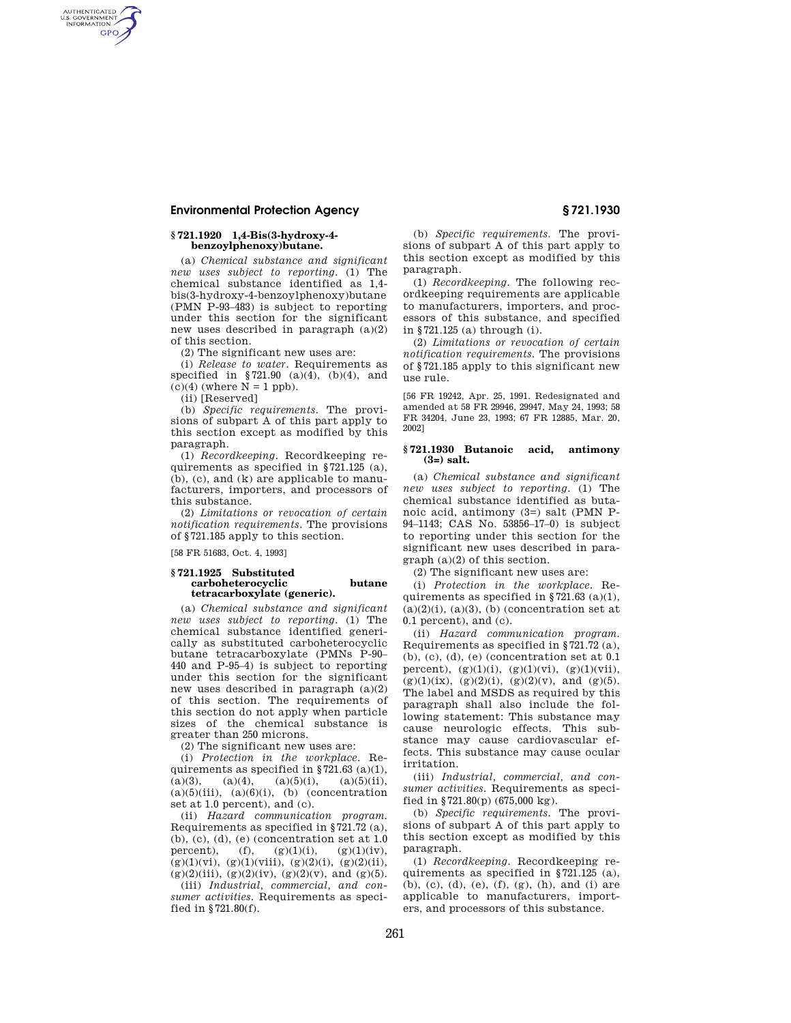# **Environmental Protection Agency § 721.1930**

# **§ 721.1920 1,4-Bis(3-hydroxy-4 benzoylphenoxy)butane.**

(a) *Chemical substance and significant new uses subject to reporting.* (1) The chemical substance identified as 1,4 bis(3-hydroxy-4-benzoylphenoxy)butane (PMN P-93–483) is subject to reporting under this section for the significant new uses described in paragraph (a)(2) of this section.

(2) The significant new uses are:

(i) *Release to water.* Requirements as specified in  $$721.90$  (a)(4), (b)(4), and  $(c)(4)$  (where  $N = 1$  ppb).

(ii) [Reserved]

AUTHENTICATED<br>U.S. GOVERNMENT<br>INFORMATION **GPO** 

> (b) *Specific requirements.* The provisions of subpart A of this part apply to this section except as modified by this paragraph.

> (1) *Recordkeeping.* Recordkeeping requirements as specified in §721.125 (a), (b), (c), and (k) are applicable to manufacturers, importers, and processors of this substance.

> (2) *Limitations or revocation of certain notification requirements.* The provisions of §721.185 apply to this section.

[58 FR 51683, Oct. 4, 1993]

### **§ 721.1925 Substituted carboheterocyclic butane tetracarboxylate (generic).**

(a) *Chemical substance and significant new uses subject to reporting.* (1) The chemical substance identified generically as substituted carboheterocyclic butane tetracarboxylate (PMNs P-90– 440 and P-95–4) is subject to reporting under this section for the significant new uses described in paragraph (a)(2) of this section. The requirements of this section do not apply when particle sizes of the chemical substance is greater than 250 microns.

(2) The significant new uses are:

(i) *Protection in the workplace.* Requirements as specified in  $\S 721.63$  (a)(1),  $(a)(3)$ ,  $(a)(4)$ ,  $(a)(5)(i)$ ,  $(a)(5)(ii)$ ,  $(a)(5)(iii)$ ,  $(a)(6)(i)$ ,  $(b)$  (concentration set at 1.0 percent), and (c).

(ii) *Hazard communication program.*  Requirements as specified in §721.72 (a), (b), (c), (d), (e) (concentration set at 1.0 percent), (f),  $(g)(1)(i)$ ,  $(g)(1)(iv)$ ,  $(g)(1)(vi), (g)(1)(viii), (g)(2)(i), (g)(2)(ii),$ (g)(2)(iii), (g)(2)(iv), (g)(2)(v), and (g)(5).

(iii) *Industrial, commercial, and consumer activities.* Requirements as specified in §721.80(f).

(b) *Specific requirements.* The provisions of subpart A of this part apply to this section except as modified by this paragraph.

(1) *Recordkeeping.* The following recordkeeping requirements are applicable to manufacturers, importers, and processors of this substance, and specified in §721.125 (a) through (i).

(2) *Limitations or revocation of certain notification requirements.* The provisions of §721.185 apply to this significant new use rule.

[56 FR 19242, Apr. 25, 1991. Redesignated and amended at 58 FR 29946, 29947, May 24, 1993; 58 FR 34204, June 23, 1993; 67 FR 12885, Mar. 20, 2002]

# **§ 721.1930 Butanoic acid, antimony (3=) salt.**

(a) *Chemical substance and significant new uses subject to reporting.* (1) The chemical substance identified as butanoic acid, antimony (3=) salt (PMN P-94–1143; CAS No. 53856–17–0) is subject to reporting under this section for the significant new uses described in paragraph (a)(2) of this section.

(2) The significant new uses are:

(i) *Protection in the workplace.* Requirements as specified in  $$721.63$  (a)(1),  $(a)(2)(i)$ ,  $(a)(3)$ ,  $(b)$  (concentration set at 0.1 percent), and (c).

(ii) *Hazard communication program.*  Requirements as specified in §721.72 (a), (b), (c), (d), (e) (concentration set at 0.1 percent),  $(g)(1)(i)$ ,  $(g)(1)(vi)$ ,  $(g)(1)(vii)$ ,  $(g)(1)(ix)$ ,  $(g)(2)(i)$ ,  $(g)(2)(v)$ , and  $(g)(5)$ . The label and MSDS as required by this paragraph shall also include the following statement: This substance may cause neurologic effects. This substance may cause cardiovascular effects. This substance may cause ocular irritation.

(iii) *Industrial, commercial, and consumer activities.* Requirements as specified in §721.80(p) (675,000 kg).

(b) *Specific requirements.* The provisions of subpart A of this part apply to this section except as modified by this paragraph.

(1) *Recordkeeping.* Recordkeeping requirements as specified in §721.125 (a), (b), (c), (d), (e), (f), (g), (h), and (i) are applicable to manufacturers, importers, and processors of this substance.